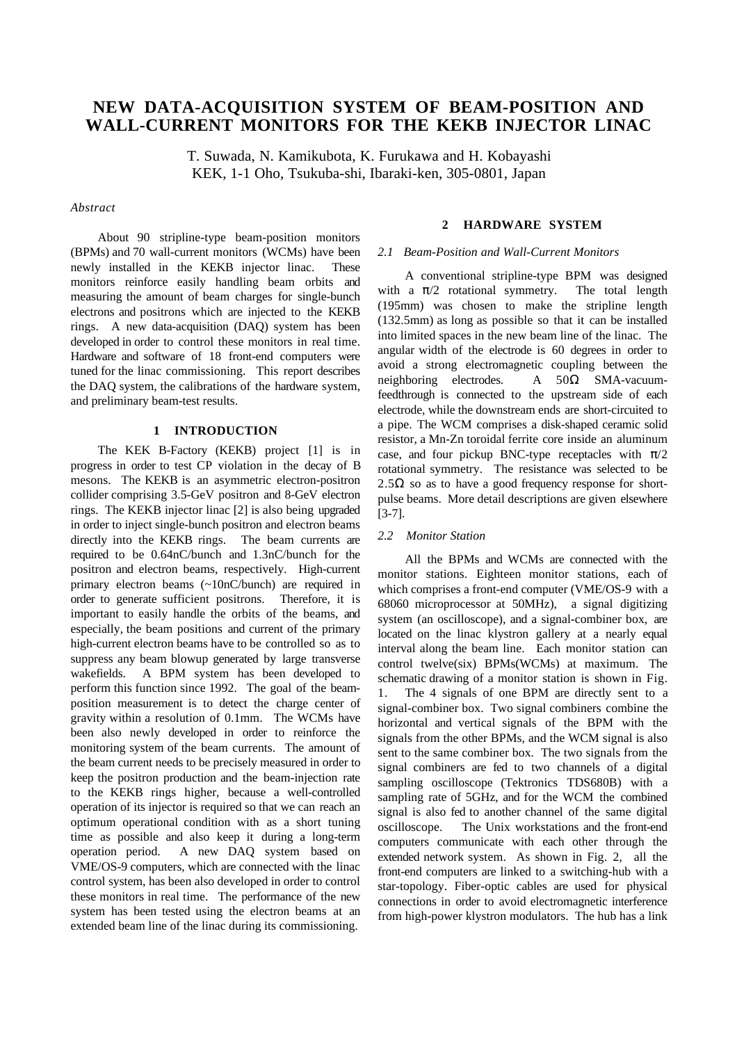# **NEW DATA-ACQUISITION SYSTEM OF BEAM-POSITION AND WALL-CURRENT MONITORS FOR THE KEKB INJECTOR LINAC**

T. Suwada, N. Kamikubota, K. Furukawa and H. Kobayashi KEK, 1-1 Oho, Tsukuba-shi, Ibaraki-ken, 305-0801, Japan

# *Abstract*

About 90 stripline-type beam-position monitors (BPMs) and 70 wall-current monitors (WCMs) have been newly installed in the KEKB injector linac. These monitors reinforce easily handling beam orbits and measuring the amount of beam charges for single-bunch electrons and positrons which are injected to the KEKB rings. A new data-acquisition (DAQ) system has been developed in order to control these monitors in real time. Hardware and software of 18 front-end computers were tuned for the linac commissioning. This report describes the DAQ system, the calibrations of the hardware system, and preliminary beam-test results.

# **1 INTRODUCTION**

The KEK B-Factory (KEKB) project [1] is in progress in order to test CP violation in the decay of B mesons. The KEKB is an asymmetric electron-positron collider comprising 3.5-GeV positron and 8-GeV electron rings. The KEKB injector linac [2] is also being upgraded in order to inject single-bunch positron and electron beams directly into the KEKB rings. The beam currents are required to be 0.64nC/bunch and 1.3nC/bunch for the positron and electron beams, respectively. High-current primary electron beams (~10nC/bunch) are required in order to generate sufficient positrons. Therefore, it is important to easily handle the orbits of the beams, and especially, the beam positions and current of the primary high-current electron beams have to be controlled so as to suppress any beam blowup generated by large transverse wakefields. A BPM system has been developed to perform this function since 1992. The goal of the beamposition measurement is to detect the charge center of gravity within a resolution of 0.1mm. The WCMs have been also newly developed in order to reinforce the monitoring system of the beam currents. The amount of the beam current needs to be precisely measured in order to keep the positron production and the beam-injection rate to the KEKB rings higher, because a well-controlled operation of its injector is required so that we can reach an optimum operational condition with as a short tuning time as possible and also keep it during a long-term operation period. A new DAQ system based on VME/OS-9 computers, which are connected with the linac control system, has been also developed in order to control these monitors in real time. The performance of the new system has been tested using the electron beams at an extended beam line of the linac during its commissioning.

# **2 HARDWARE SYSTEM**

#### *2.1 Beam-Position and Wall-Current Monitors*

A conventional stripline-type BPM was designed with a  $\pi/2$  rotational symmetry. The total length (195mm) was chosen to make the stripline length (132.5mm) as long as possible so that it can be installed into limited spaces in the new beam line of the linac. The angular width of the electrode is 60 degrees in order to avoid a strong electromagnetic coupling between the neighboring electrodes. A  $50\Omega$  SMA-vacuumfeedthrough is connected to the upstream side of each electrode, while the downstream ends are short-circuited to a pipe. The WCM comprises a disk-shaped ceramic solid resistor, a Mn-Zn toroidal ferrite core inside an aluminum case, and four pickup BNC-type receptacles with  $\pi/2$ rotational symmetry. The resistance was selected to be 2.5 $\Omega$  so as to have a good frequency response for shortpulse beams. More detail descriptions are given elsewhere [3-7].

# *2.2 Monitor Station*

All the BPMs and WCMs are connected with the monitor stations. Eighteen monitor stations, each of which comprises a front-end computer (VME/OS-9 with a 68060 microprocessor at 50MHz), a signal digitizing system (an oscilloscope), and a signal-combiner box, are located on the linac klystron gallery at a nearly equal interval along the beam line. Each monitor station can control twelve(six) BPMs(WCMs) at maximum. The schematic drawing of a monitor station is shown in Fig. 1. The 4 signals of one BPM are directly sent to a signal-combiner box. Two signal combiners combine the horizontal and vertical signals of the BPM with the signals from the other BPMs, and the WCM signal is also sent to the same combiner box. The two signals from the signal combiners are fed to two channels of a digital sampling oscilloscope (Tektronics TDS680B) with a sampling rate of 5GHz, and for the WCM the combined signal is also fed to another channel of the same digital oscilloscope. The Unix workstations and the front-end computers communicate with each other through the extended network system. As shown in Fig. 2, all the front-end computers are linked to a switching-hub with a star-topology. Fiber-optic cables are used for physical connections in order to avoid electromagnetic interference from high-power klystron modulators. The hub has a link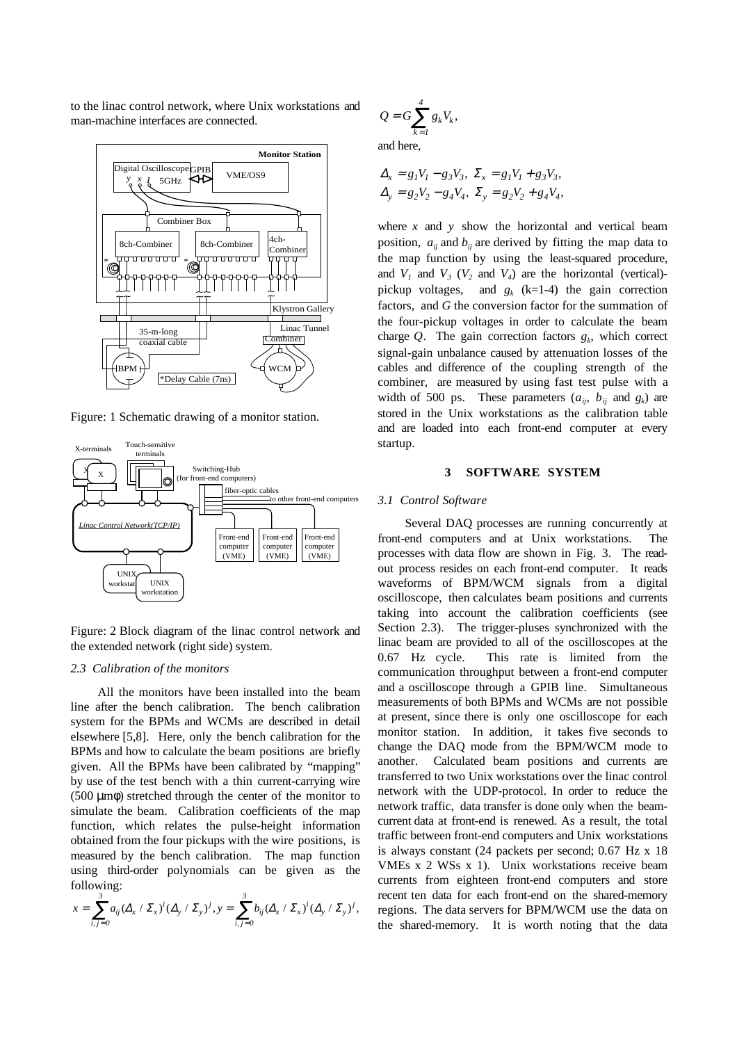to the linac control network, where Unix workstations and man-machine interfaces are connected.



Figure: 1 Schematic drawing of a monitor station.



Figure: 2 Block diagram of the linac control network and the extended network (right side) system.

#### *2.3 Calibration of the monitors*

All the monitors have been installed into the beam line after the bench calibration. The bench calibration system for the BPMs and WCMs are described in detail elsewhere [5,8]. Here, only the bench calibration for the BPMs and how to calculate the beam positions are briefly given. All the BPMs have been calibrated by "mapping" by use of the test bench with a thin current-carrying wire  $(500 \mu m\phi)$  stretched through the center of the monitor to simulate the beam. Calibration coefficients of the map function, which relates the pulse-height information obtained from the four pickups with the wire positions, is measured by the bench calibration. The map function using third-order polynomials can be given as the following:

$$
x = \sum_{i,j=0}^{3} a_{ij} (\Delta_x \cdot \Sigma_x)^i (\Delta_y \cdot \Sigma_y)^j, y = \sum_{i,j=0}^{3} b_{ij} (\Delta_x \cdot \Sigma_x)^i (\Delta_y \cdot \Sigma_y)^j,
$$

$$
Q = G \sum_{k=1}^{4} g_k V_k,
$$

and here,

$$
\Delta_x = g_1 V_1 - g_3 V_3, \ \Sigma_x = g_1 V_1 + g_3 V_3, \Delta_y = g_2 V_2 - g_4 V_4, \ \Sigma_y = g_2 V_2 + g_4 V_4,
$$

where *x* and *y* show the horizontal and vertical beam position,  $a_{ij}$  and  $b_{ij}$  are derived by fitting the map data to the map function by using the least-squared procedure, and  $V_1$  and  $V_3$  ( $V_2$  and  $V_4$ ) are the horizontal (vertical)pickup voltages, and  $g_k$  (k=1-4) the gain correction factors, and *G* the conversion factor for the summation of the four-pickup voltages in order to calculate the beam charge  $Q$ . The gain correction factors  $g_k$ , which correct signal-gain unbalance caused by attenuation losses of the cables and difference of the coupling strength of the combiner, are measured by using fast test pulse with a width of 500 ps. These parameters  $(a_{ij}, b_{ij} \text{ and } g_k)$  are stored in the Unix workstations as the calibration table and are loaded into each front-end computer at every startup.

#### **3 SOFTWARE SYSTEM**

#### *3.1 Control Software*

Several DAQ processes are running concurrently at front-end computers and at Unix workstations. The processes with data flow are shown in Fig. 3. The readout process resides on each front-end computer. It reads waveforms of BPM/WCM signals from a digital oscilloscope, then calculates beam positions and currents taking into account the calibration coefficients (see Section 2.3). The trigger-pluses synchronized with the linac beam are provided to all of the oscilloscopes at the 0.67 Hz cycle. This rate is limited from the communication throughput between a front-end computer and a oscilloscope through a GPIB line. Simultaneous measurements of both BPMs and WCMs are not possible at present, since there is only one oscilloscope for each monitor station. In addition, it takes five seconds to change the DAQ mode from the BPM/WCM mode to another. Calculated beam positions and currents are transferred to two Unix workstations over the linac control network with the UDP-protocol. In order to reduce the network traffic, data transfer is done only when the beamcurrent data at front-end is renewed. As a result, the total traffic between front-end computers and Unix workstations is always constant (24 packets per second; 0.67 Hz x 18 VMEs x 2 WSs x 1). Unix workstations receive beam currents from eighteen front-end computers and store recent ten data for each front-end on the shared-memory regions. The data servers for BPM/WCM use the data on the shared-memory. It is worth noting that the data